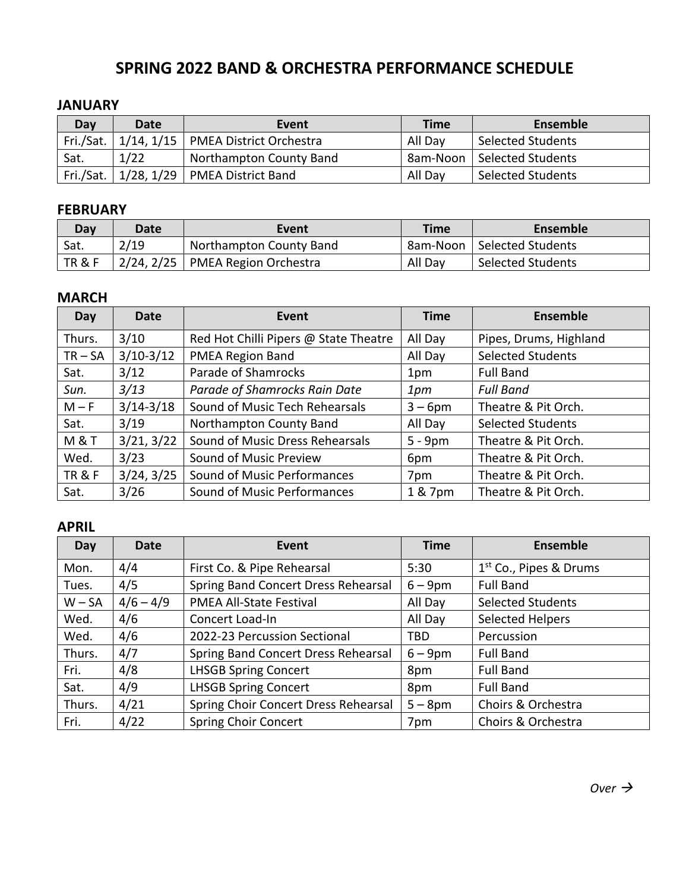### **SPRING 2022 BAND & ORCHESTRA PERFORMANCE SCHEDULE**

#### **JANUARY**

| Day  | Date | Event                                             | <b>Time</b> | Ensemble                 |
|------|------|---------------------------------------------------|-------------|--------------------------|
|      |      | Fri./Sat.   1/14, 1/15   PMEA District Orchestra  | All Day     | <b>Selected Students</b> |
| Sat. | 1/22 | Northampton County Band                           | 8am-Noon    | l Selected Students      |
|      |      | Fri./Sat. $\vert$ 1/28, 1/29   PMEA District Band | All Day     | <b>Selected Students</b> |

#### **FEBRUARY**

| Dav    | Date | Event                              | <b>Time</b> | Ensemble                     |
|--------|------|------------------------------------|-------------|------------------------------|
| Sat.   | 2/19 | Northampton County Band            |             | 8am-Noon   Selected Students |
| TR & F |      | 2/24, 2/25   PMEA Region Orchestra | All Day     | <b>Selected Students</b>     |

### **MARCH**

| Day               | <b>Date</b>   | Event                                 | <b>Time</b> | <b>Ensemble</b>          |
|-------------------|---------------|---------------------------------------|-------------|--------------------------|
| Thurs.            | 3/10          | Red Hot Chilli Pipers @ State Theatre | All Day     | Pipes, Drums, Highland   |
| $TR - SA$         | $3/10-3/12$   | <b>PMEA Region Band</b>               | All Day     | <b>Selected Students</b> |
| Sat.              | 3/12          | Parade of Shamrocks                   | 1pm         | <b>Full Band</b>         |
| Sun.              | 3/13          | Parade of Shamrocks Rain Date         | 1pm         | <b>Full Band</b>         |
| $M - F$           | $3/14 - 3/18$ | Sound of Music Tech Rehearsals        | $3 - 6$ pm  | Theatre & Pit Orch.      |
| Sat.              | 3/19          | Northampton County Band               | All Day     | <b>Selected Students</b> |
| M & T             | 3/21, 3/22    | Sound of Music Dress Rehearsals       | $5 - 9pm$   | Theatre & Pit Orch.      |
| Wed.              | 3/23          | Sound of Music Preview                | 6pm         | Theatre & Pit Orch.      |
| <b>TR &amp; F</b> | 3/24, 3/25    | Sound of Music Performances           | 7pm         | Theatre & Pit Orch.      |
| Sat.              | 3/26          | Sound of Music Performances           | 1 & 7pm     | Theatre & Pit Orch.      |

### **APRIL**

| Day      | Date        | Event                                | <b>Time</b> | <b>Ensemble</b>          |
|----------|-------------|--------------------------------------|-------------|--------------------------|
| Mon.     | 4/4         | First Co. & Pipe Rehearsal           | 5:30        | $1st$ Co., Pipes & Drums |
| Tues.    | 4/5         | Spring Band Concert Dress Rehearsal  | $6 - 9$ pm  | <b>Full Band</b>         |
| $W - SA$ | $4/6 - 4/9$ | PMEA All-State Festival              | All Day     | <b>Selected Students</b> |
| Wed.     | 4/6         | Concert Load-In                      | All Day     | <b>Selected Helpers</b>  |
| Wed.     | 4/6         | 2022-23 Percussion Sectional         | TBD         | Percussion               |
| Thurs.   | 4/7         | Spring Band Concert Dress Rehearsal  | $6 - 9$ pm  | <b>Full Band</b>         |
| Fri.     | 4/8         | <b>LHSGB Spring Concert</b>          | 8pm         | <b>Full Band</b>         |
| Sat.     | 4/9         | <b>LHSGB Spring Concert</b>          | 8pm         | <b>Full Band</b>         |
| Thurs.   | 4/21        | Spring Choir Concert Dress Rehearsal | $5-8$ pm    | Choirs & Orchestra       |
| Fri.     | 4/22        | <b>Spring Choir Concert</b>          | 7pm         | Choirs & Orchestra       |